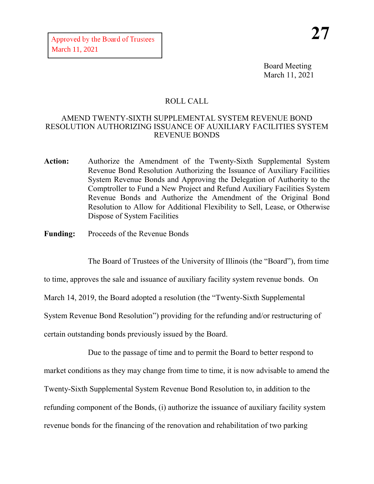Board Meeting March 11, 2021

## ROLL CALL

## AMEND TWENTY-SIXTH SUPPLEMENTAL SYSTEM REVENUE BOND RESOLUTION AUTHORIZING ISSUANCE OF AUXILIARY FACILITIES SYSTEM REVENUE BONDS

- **Action:** Authorize the Amendment of the Twenty-Sixth Supplemental System Revenue Bond Resolution Authorizing the Issuance of Auxiliary Facilities System Revenue Bonds and Approving the Delegation of Authority to the Comptroller to Fund a New Project and Refund Auxiliary Facilities System Revenue Bonds and Authorize the Amendment of the Original Bond Resolution to Allow for Additional Flexibility to Sell, Lease, or Otherwise Dispose of System Facilities
- **Funding:** Proceeds of the Revenue Bonds

The Board of Trustees of the University of Illinois (the "Board"), from time

to time, approves the sale and issuance of auxiliary facility system revenue bonds. On

March 14, 2019, the Board adopted a resolution (the "Twenty-Sixth Supplemental

System Revenue Bond Resolution") providing for the refunding and/or restructuring of

certain outstanding bonds previously issued by the Board.

Due to the passage of time and to permit the Board to better respond to market conditions as they may change from time to time, it is now advisable to amend the Twenty-Sixth Supplemental System Revenue Bond Resolution to, in addition to the refunding component of the Bonds, (i) authorize the issuance of auxiliary facility system revenue bonds for the financing of the renovation and rehabilitation of two parking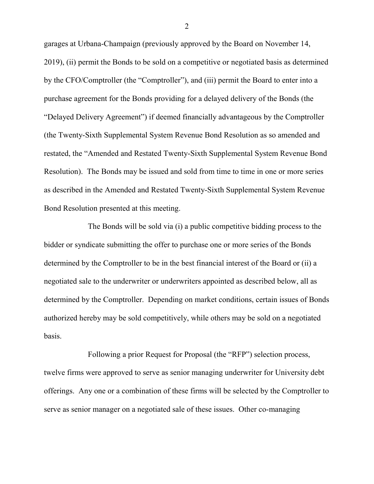garages at Urbana-Champaign (previously approved by the Board on November 14, 2019), (ii) permit the Bonds to be sold on a competitive or negotiated basis as determined by the CFO/Comptroller (the "Comptroller"), and (iii) permit the Board to enter into a purchase agreement for the Bonds providing for a delayed delivery of the Bonds (the "Delayed Delivery Agreement") if deemed financially advantageous by the Comptroller (the Twenty-Sixth Supplemental System Revenue Bond Resolution as so amended and restated, the "Amended and Restated Twenty-Sixth Supplemental System Revenue Bond Resolution). The Bonds may be issued and sold from time to time in one or more series as described in the Amended and Restated Twenty-Sixth Supplemental System Revenue Bond Resolution presented at this meeting.

The Bonds will be sold via (i) a public competitive bidding process to the bidder or syndicate submitting the offer to purchase one or more series of the Bonds determined by the Comptroller to be in the best financial interest of the Board or (ii) a negotiated sale to the underwriter or underwriters appointed as described below, all as determined by the Comptroller. Depending on market conditions, certain issues of Bonds authorized hereby may be sold competitively, while others may be sold on a negotiated basis.

Following a prior Request for Proposal (the "RFP") selection process, twelve firms were approved to serve as senior managing underwriter for University debt offerings. Any one or a combination of these firms will be selected by the Comptroller to serve as senior manager on a negotiated sale of these issues. Other co-managing

2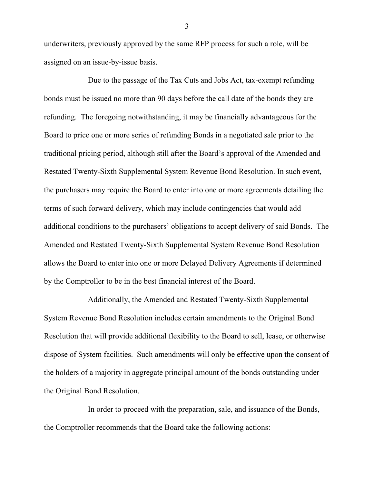underwriters, previously approved by the same RFP process for such a role, will be assigned on an issue-by-issue basis.

Due to the passage of the Tax Cuts and Jobs Act, tax-exempt refunding bonds must be issued no more than 90 days before the call date of the bonds they are refunding. The foregoing notwithstanding, it may be financially advantageous for the Board to price one or more series of refunding Bonds in a negotiated sale prior to the traditional pricing period, although still after the Board's approval of the Amended and Restated Twenty-Sixth Supplemental System Revenue Bond Resolution. In such event, the purchasers may require the Board to enter into one or more agreements detailing the terms of such forward delivery, which may include contingencies that would add additional conditions to the purchasers' obligations to accept delivery of said Bonds. The Amended and Restated Twenty-Sixth Supplemental System Revenue Bond Resolution allows the Board to enter into one or more Delayed Delivery Agreements if determined by the Comptroller to be in the best financial interest of the Board.

Additionally, the Amended and Restated Twenty-Sixth Supplemental System Revenue Bond Resolution includes certain amendments to the Original Bond Resolution that will provide additional flexibility to the Board to sell, lease, or otherwise dispose of System facilities. Such amendments will only be effective upon the consent of the holders of a majority in aggregate principal amount of the bonds outstanding under the Original Bond Resolution.

In order to proceed with the preparation, sale, and issuance of the Bonds, the Comptroller recommends that the Board take the following actions:

3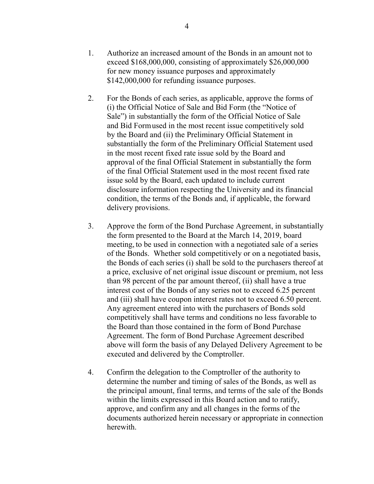- 2. For the Bonds of each series, as applicable, approve the forms of (i) the Official Notice of Sale and Bid Form (the "Notice of Sale") in substantially the form of the Official Notice of Sale and Bid Formused in the most recent issue competitively sold by the Board and (ii) the Preliminary Official Statement in substantially the form of the Preliminary Official Statement used in the most recent fixed rate issue sold by the Board and approval of the final Official Statement in substantially the form of the final Official Statement used in the most recent fixed rate issue sold by the Board, each updated to include current disclosure information respecting the University and its financial condition, the terms of the Bonds and, if applicable, the forward delivery provisions.
- 3. Approve the form of the Bond Purchase Agreement, in substantially the form presented to the Board at the March 14, 2019, board meeting, to be used in connection with a negotiated sale of a series of the Bonds. Whether sold competitively or on a negotiated basis, the Bonds of each series (i) shall be sold to the purchasers thereof at a price, exclusive of net original issue discount or premium, not less than 98 percent of the par amount thereof, (ii) shall have a true interest cost of the Bonds of any series not to exceed 6.25 percent and (iii) shall have coupon interest rates not to exceed 6.50 percent. Any agreement entered into with the purchasers of Bonds sold competitively shall have terms and conditions no less favorable to the Board than those contained in the form of Bond Purchase Agreement. The form of Bond Purchase Agreement described above will form the basis of any Delayed Delivery Agreement to be executed and delivered by the Comptroller.
- 4. Confirm the delegation to the Comptroller of the authority to determine the number and timing of sales of the Bonds, as well as the principal amount, final terms, and terms of the sale of the Bonds within the limits expressed in this Board action and to ratify, approve, and confirm any and all changes in the forms of the documents authorized herein necessary or appropriate in connection herewith.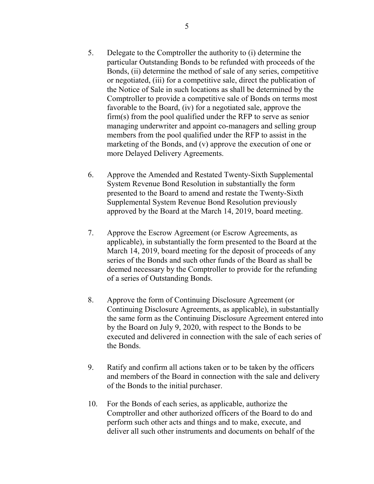- 5. Delegate to the Comptroller the authority to (i) determine the particular Outstanding Bonds to be refunded with proceeds of the Bonds, (ii) determine the method of sale of any series, competitive or negotiated, (iii) for a competitive sale, direct the publication of the Notice of Sale in such locations as shall be determined by the Comptroller to provide a competitive sale of Bonds on terms most favorable to the Board, (iv) for a negotiated sale, approve the firm(s) from the pool qualified under the RFP to serve as senior managing underwriter and appoint co-managers and selling group members from the pool qualified under the RFP to assist in the marketing of the Bonds, and (v) approve the execution of one or more Delayed Delivery Agreements.
- 6. Approve the Amended and Restated Twenty-Sixth Supplemental System Revenue Bond Resolution in substantially the form presented to the Board to amend and restate the Twenty-Sixth Supplemental System Revenue Bond Resolution previously approved by the Board at the March 14, 2019, board meeting.
- 7. Approve the Escrow Agreement (or Escrow Agreements, as applicable), in substantially the form presented to the Board at the March 14, 2019, board meeting for the deposit of proceeds of any series of the Bonds and such other funds of the Board as shall be deemed necessary by the Comptroller to provide for the refunding of a series of Outstanding Bonds.
- 8. Approve the form of Continuing Disclosure Agreement (or Continuing Disclosure Agreements, as applicable), in substantially the same form as the Continuing Disclosure Agreement entered into by the Board on July 9, 2020, with respect to the Bonds to be executed and delivered in connection with the sale of each series of the Bonds.
- 9. Ratify and confirm all actions taken or to be taken by the officers and members of the Board in connection with the sale and delivery of the Bonds to the initial purchaser.
- 10. For the Bonds of each series, as applicable, authorize the Comptroller and other authorized officers of the Board to do and perform such other acts and things and to make, execute, and deliver all such other instruments and documents on behalf of the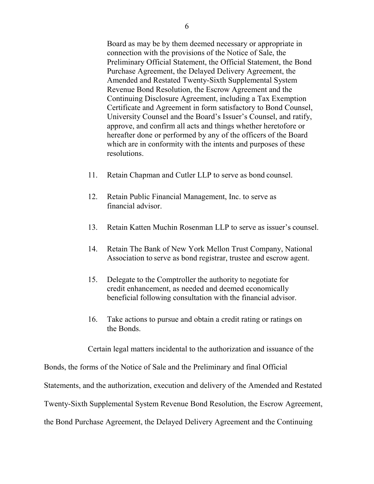Board as may be by them deemed necessary or appropriate in connection with the provisions of the Notice of Sale, the Preliminary Official Statement, the Official Statement, the Bond Purchase Agreement, the Delayed Delivery Agreement, the Amended and Restated Twenty-Sixth Supplemental System Revenue Bond Resolution, the Escrow Agreement and the Continuing Disclosure Agreement, including a Tax Exemption Certificate and Agreement in form satisfactory to Bond Counsel, University Counsel and the Board's Issuer's Counsel, and ratify, approve, and confirm all acts and things whether heretofore or hereafter done or performed by any of the officers of the Board which are in conformity with the intents and purposes of these resolutions.

- 11. Retain Chapman and Cutler LLP to serve as bond counsel.
- 12. Retain Public Financial Management, Inc. to serve as financial advisor.
- 13. Retain Katten Muchin Rosenman LLP to serve as issuer's counsel.
- 14. Retain The Bank of New York Mellon Trust Company, National Association to serve as bond registrar, trustee and escrow agent.
- 15. Delegate to the Comptroller the authority to negotiate for credit enhancement, as needed and deemed economically beneficial following consultation with the financial advisor.
- 16. Take actions to pursue and obtain a credit rating or ratings on the Bonds.

Certain legal matters incidental to the authorization and issuance of the

Bonds, the forms of the Notice of Sale and the Preliminary and final Official Statements, and the authorization, execution and delivery of the Amended and Restated Twenty-Sixth Supplemental System Revenue Bond Resolution, the Escrow Agreement, the Bond Purchase Agreement, the Delayed Delivery Agreement and the Continuing